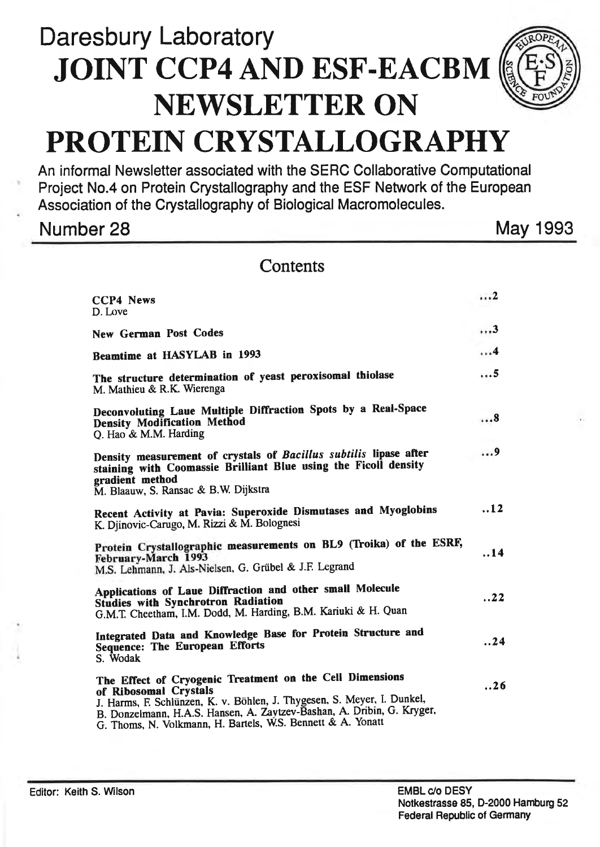# Daresbury Laboratory JOINT CCP4AND ESF-EACBM NEWSLETTER ON PROTEIN CRYSTALLOGRAPHY

An informal Newsletter associated with the SERC Collaborative Computational Project No.4 on Protein Crystallography and the ESF Network of the European Association of the Crystallography of Biological Macromolecules.

Number 28 May 1993

**Contents** 

| <b>CCP4 News</b><br>D. Love                                                                                                                                                                                                                                                                           | 2           |
|-------------------------------------------------------------------------------------------------------------------------------------------------------------------------------------------------------------------------------------------------------------------------------------------------------|-------------|
| <b>New German Post Codes</b>                                                                                                                                                                                                                                                                          | 3           |
| Beamtime at HASYLAB in 1993                                                                                                                                                                                                                                                                           | 4           |
| The structure determination of yeast peroxisomal thiolase<br>M. Mathieu & R.K. Wierenga                                                                                                                                                                                                               | . 5         |
| Deconvoluting Laue Multiple Diffraction Spots by a Real-Space<br><b>Density Modification Method</b><br>Q. Hao & M.M. Harding                                                                                                                                                                          | 8           |
| Density measurement of crystals of Bacillus subtilis lipase after<br>staining with Coomassie Brilliant Blue using the Ficoll density<br>gradient method<br>M. Blaauw, S. Ransac & B.W. Dijkstra                                                                                                       | . 9         |
| Recent Activity at Pavia: Superoxide Dismutases and Myoglobins<br>K. Djinovic-Carugo, M. Rizzi & M. Bolognesi                                                                                                                                                                                         | $\ldots$ 12 |
| Protein Crystallographic measurements on BL9 (Troika) of the ESRF,<br>February-March 1993<br>M.S. Lehmann, J. Als-Nielsen, G. Grübel & J.F. Legrand                                                                                                                                                   | 14          |
| Applications of Laue Diffraction and other small Molecule<br><b>Studies with Synchrotron Radiation</b><br>G.M.T. Cheetham, I.M. Dodd, M. Harding, B.M. Kariuki & H. Quan                                                                                                                              | 22          |
| Integrated Data and Knowledge Base for Protein Structure and<br><b>Sequence: The European Efforts</b><br>S. Wodak                                                                                                                                                                                     | . .24       |
| The Effect of Cryogenic Treatment on the Cell Dimensions<br>of Ribosomal Crystals<br>J. Harms, F. Schlünzen, K. v. Böhlen, J. Thygesen, S. Meyer, I. Dunkel,<br>B. Donzelmann, H.A.S. Hansen, A. Zaytzev-Bashan, A. Dribin, G. Kryger,<br>G. Thoms, N. Volkmann, H. Bartels, W.S. Bennett & A. Yonatt | . .26       |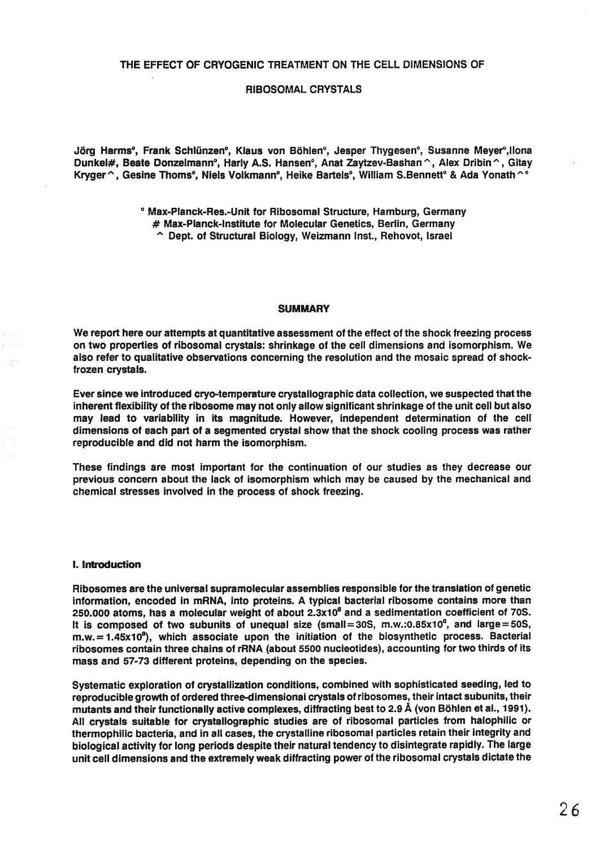## RIBOSOMAL CRYSTALS

Jörg Harms°, Frank Schlünzen°, Klaus von Böhlen°, Jesper Thygesen°, Susanne Meyer°,Ilona Dunkel#, Beate Donzelmann°, Harly A.S. Hansen°, Anat Zaytzev-Bashan ^, Alex Dribin ^, Gitay Kryger ^, Gesine Thoms°, Niels Volkmann°, Heike Bartels°, William S.Bennett° & Ada Yonath ^ °

> ° Max-Planck-Res.-Unit for Ribosomal Structure, Hamburg, Germany # Max-Planck-Institute for Molecular Genetics, Berlin, Germany " Dept. of Structural Biology, Weizmann Inst., Rehovot, Israel

#### **SUMMARY**

We report here our attempts at quantitative assessment of the effect of the shock freezing process on two properties of ribosomal crystals: shrinkage of the cell dimensions and isomorphism. We also refer to qualitative observations concerning the resolution and the mosaic spread of shockfrozen crystals.

Ever since we introduced cryo-temperature crystallographic data collection, we suspected that the inherent flexibility of the ribosome may not only allow significant shrinkage of the unit cell but also may lead to variability in its magnitude. However, independent determination of the cell dimensions of each part of a segmented crystal show that the shock cooling process was rather reproducible and did not harm the isomorphism.

These findings are most important for the continuation of our studies as they decrease our previous concern about the lack of isomorphism which may be caused by the mechanical and chemical stresses involved in the process of shock freezing.

#### I. Introduction

Ribosomes are the universal supramolecular assemblies responsible for the translation of genetic information, encoded in mRNA, into proteins. A typical bacterial ribosome contains more than 250.000 atoms, has a molecular weight of about  $2.3x10<sup>6</sup>$  and a sedimentation coefficient of 70S. It is composed of two subunits of unequal size (small=30S, m.w.:0.85x10<sup>6</sup>, and large=50S, m.w. = 1.45x10<sup>6</sup>), which associate upon the initiation of the biosynthetic process. Bacterial ribosomes contain three chains of rRNA (about 5500 nucleotides), accounting for two thirds of its mass and 57-73 different proteins, depending on the species.

Systematic exploration of crystallization conditions, combined with sophisticated seeding, led to reproducible growth of ordered three-dimensional crystals of ribosomes, their intact subunits, their mutants and their functionally active complexes, diffracting best to 2.9 Å (von Böhlen et al., 1991). All crystals suitable for crystallographic studies are of ribosomal particles from halophilic or thermophilic bacteria, and in all cases, the crystalline ribosomal particles retain their integrity and biological activity for long periods despite their natural tendency to disintegrate rapidly. The large unit cell dimensions and the extremely weak diffracting power of the ribosomal crystals dictate the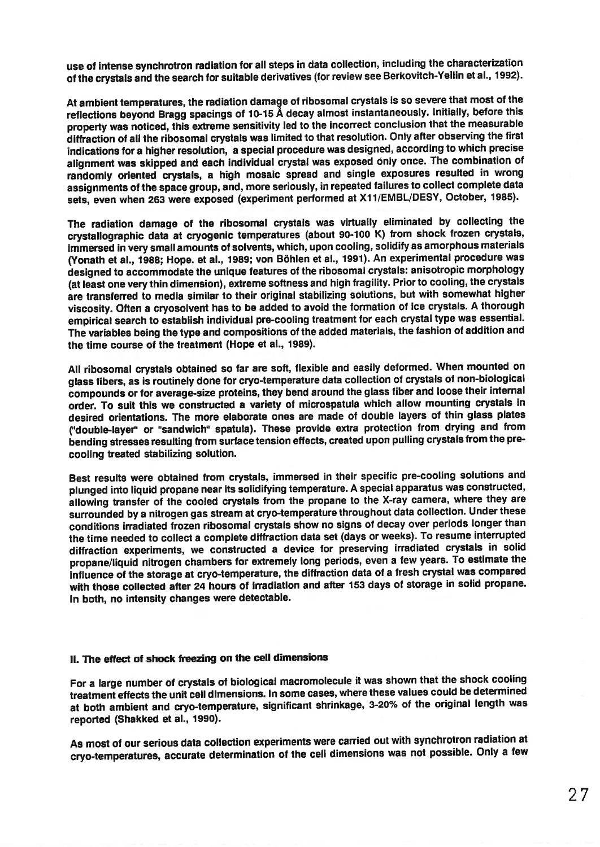use of Intense synchrotron radiation for all steps in data collection, including the characterization ofthe crystals and the search for suitable derivatives (for review see 8erkovitch-Yellin et al., 1992).

At ambient temperatures, the radiation damage of ribosomal crystals is so severe that most of the reflections beyond Bragg spacings of 10-15 Å decay almost instantaneously. Initially, before this property was noticed, this extreme sensitivity led to the incorrect conclusion that the measurable diffraction of all the ribosomal crystals was limited to that resolution. Only after observing the first indications for a higher resolution, a special procedure was designed, according to which precise alignment was skipped and each individual crystal was exposed only once. The combination of randomly oriented crystals, a high mosaic spread and single exposures resulted in wrong assignments of the space group, and, more seriously, in repeated failures to collect complete data sets, even when 263 were exposed (experiment performed at X11/EMBL/DESY, October, 1985).

The radiation damage of the ribosomal crystals was virtually eliminated by collecting the crystallographic data at cryogenic temperatures (about 90-100 K) from shock frozen crystals, immersed in very small amounts of solvents, which, upon COOling, solidify as amorphous materials (Yonath et al., 1988; Hope. et al., 1989; von Böhlen et al., 1991). An experimental procedure was designed to accommodate the unique features of the ribosomal crystals: anisotropic morphology (at least one very thin dimension), extreme softness and high fragility. Prior to COOling, the crystals are transferred to media similar to their original stabilizing solutions, but with somewhat higher viscosity. Often a cryosolvent has to be added to avoid the formation of ice crystals. A thorough empirical search to establish individual pre-cooling treatment for each crystal type was essential. The variables being the type and compositions of the added materials, the fashion of addition and the time course of the treatment (Hope et al., 1989).

All ribosomal crystals obtained so far are soft, flexible and easily deformed. When mounted on glass fibers, as is routinely done for cryo-temperature data collection of crystals of non-biological compounds or for average-size proteins, they bend around the glass fiber and loose their internal order. To suit this we constructed a variety of microspatula which allow mounting crystals in desired orientations. The more elaborate ones are made of double layers of thin glass plates ("double-layer" or "sandwich" spatula). These provide extra protection from drying and from bending stresses resulting from surface tension effects, created upon pulling crystals from the precooling treated stabilizing solution.

Best results were obtained from crystals, immersed in their specific pre-cooling solutions and plunged into liquid propane near its solidifying temperature. A special apparatus was constructed, allowing transfer of the cooled crystals from the propane to the X-ray camera, where they are surrounded by a nitrogen gas stream at cryo-temperature throughout data collection. Under these conditions irradiated frozen ribosomal crystals show no signs of decay over periods longer than the time needed to collect a complete diffraction data set (days or weeks). To resume interrupted diffraction experiments, we constructed a device for preserving irradiated crystals in solid propane/liquid nitrogen chambers for extremely long periods, even a few years. To estimate the influence of the storage at cryo-temperature, the diffraction data of a fresh crystal was compared with those collected after 24 hours of irradiation and after 153 days of storage in solid propane. In both, no intensity changes were detectable.

# 11. The effect of shock freezing on the cell dimensions

For a large number of crystals of biological macromolecule it was shown that the shock COOling treatment effects the unit cell dimensions. In some cases, where these values could be determined at both ambient and cryo-temperature, significant shrinkage, 3-20% of the original length was reported (Shakked et al., 1990).

As most of our serious data collection experiments were carried out with synchrotron radiation at cryo-temperatures, accurate determination of the cell dimensions was not possible. Only a few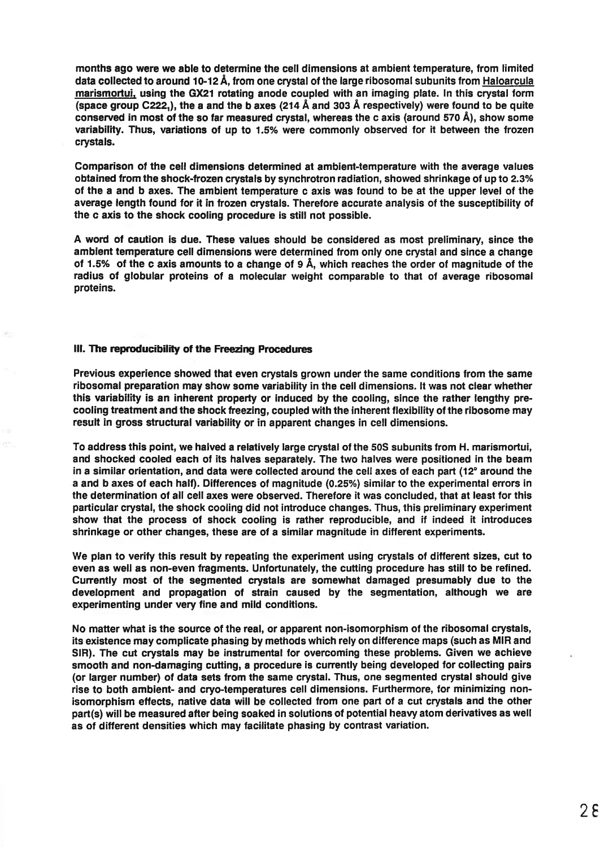months ago were we able to determine the cell dimensions at ambient temperature, from limited data collected to around 10-12 Å, from one crystal of the large ribosomal subunits from Haloarcula marismortui, using the GX21 rotating anode coupled with an imaging plate. In this crystal form (space group C222<sub>1</sub>), the a and the b axes (214 Å and 303 Å respectively) were found to be quite conserved in most of the so far measured crystal, whereas the c axis (around 570 Å), show some variability. Thus, variations of up to 1.5% were commonly observed for it between the frozen crystals.

Comparison of the cell dimensions determined at ambient-temperature with the average values obtained from the shock-frozen crystals by synchrotron radiation, showed shrinkage of up to 2.3% of the a and b axes. The ambient temperature c axis was found to be at the upper level of the average length found for it in frozen crystals. Therefore accurate analysis of the susceptibility of the c axis to the shock cooling procedure is still not possible.

A word of caution is due. These values should be considered as most preliminary, since the ambient temperature cell dimensions were determined from only one crystal and since a change of 1.5% of the c axis amounts to a change of 9 A, which reaches the order of magnitude of the radius of globular proteins of a molecular weight comparable to that of average ribosomal proteins.

### III. The reproducibility of the Freezing Procedures

Previous experience showed that even crystals grown under the same conditions from the same ribosomal preparation may show some variability in the cell dimensions. It was not clear whether this variability is an inherent property or induced by the cooling, since the rather lengthy pre-COOling treatment and the shock freezing, coupled with the inherent flexibility of the ribosome may result in gross structural variability or in apparent changes in cell dimensions.

To address this point, we halved a relatively large crystal of the 50S subunits from H. marismortui, and shocked cooled each of its halves separately. The two halves were positioned in the beam in a similar orientation, and data were collected around the cell axes of each part  $(12^{\circ}$  around the a and b axes of each half). Differences of magnitude (0.25%) similar to the experimental errors in the determination of all cell axes were observed. Therefore it was concluded, that at least for this particular crystal, the shock cooling did not introduce changes. Thus, this preliminary experiment show that the process of shock cooling is rather reproducible, and if indeed it introduces shrinkage or other changes, these are of a similar magnitude in different experiments.

We plan to verify this result by repeating the experiment using crystals of different sizes, cut to even as well as non-even fragments. Unfortunately, the cutting procedure has still to be refined. Currently most of the segmented crystals are somewhat damaged presumably due to the development and propagation of strain caused by the segmentation, although we are experimenting under very fine and mild conditions.

No matter what is the source of the real, or apparent non-isomorphism of the ribosomal crystals, its existence may complicate phasing by methods which rely on difference maps (such as MlR and SIR). The cut crystals may be instrumental for overcoming these problems. Given we achieve smooth and non-damaging cutting, a procedure is currently being developed for collecting pairs (or larger number) of data sets from the same crystal. Thus, one segmented crystal should give rise to both ambient- and cryo-temperatures cell dimensions. Furthermore, for minimizing nonisomorphism effects, native data will be collected from one part of a cut crystals and the other part(s) will be measured after being soaked in solutions of potential heavy atom derivatives as well as of different densities which may facilitate phasing by contrast variation.